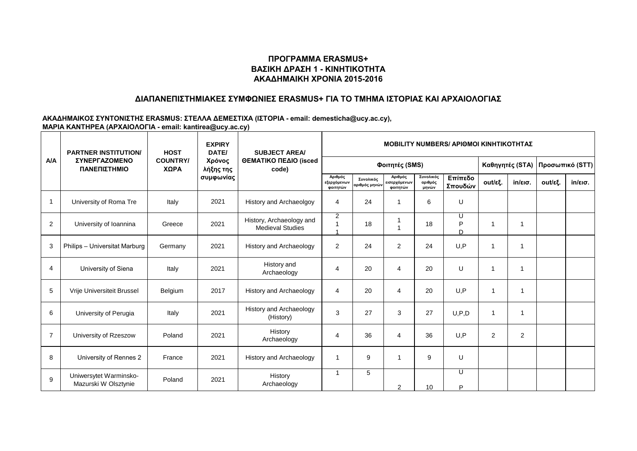### **ΔΙΑΠΑΝΕΠΙΣΤΗΜΙΑΚΕΣ ΣΥΜΦΩΝΙΕΣ ERASMUS+ ΓΙΑ ΤΟ ΤΜΗΜΑ ΙΣΤΟΡΙΑΣ ΚΑΙ ΑΡΧΑΙΟΛΟΓΙΑΣ**

|                | <b>PARTNER INSTITUTION/</b>                    | <b>EXPIRY</b><br><b>HOST</b><br>DATE/ |                                  | <b>SUBJECT AREA/</b>                                | <b>MOBILITY NUMBERS/ APIOMOI KINHTIKOTHTAZ</b> |                            |                                     |                               |                    |                      |                   |                 |                   |
|----------------|------------------------------------------------|---------------------------------------|----------------------------------|-----------------------------------------------------|------------------------------------------------|----------------------------|-------------------------------------|-------------------------------|--------------------|----------------------|-------------------|-----------------|-------------------|
| <b>A/A</b>     | ΣΥΝΕΡΓΑΖΟΜΕΝΟ<br>ΠΑΝΕΠΙΣΤΗΜΙΟ                  | <b>COUNTRY/</b><br>ΧΩΡΑ               | Χρόνος<br>λήξης της<br>συμφωνίας | ΘΕΜΑΤΙΚΟ ΠΕΔΙΟ (isced<br>code)                      |                                                |                            | Φοιτητές (SMS)                      |                               |                    | Καθηγητές (STA)      |                   | Προσωπικό (STT) |                   |
|                |                                                |                                       |                                  |                                                     | Αριθμός<br>εξερχόμενων<br>φοιτητών             | Συνολικός<br>αριθμός μηνών | Αριθμός<br>εισερχόμενων<br>φοιτητών | Συνολικός<br>αριθμός<br>μηνών | Επίπεδο<br>Σπουδών | out/εξ.              | $in/\epsilon$ ισ. | out/εξ.         | $in/\epsilon$ ισ. |
| $\mathbf{1}$   | University of Roma Tre                         | Italy                                 | 2021                             | History and Archaeolgoy                             | 4                                              | 24                         | 1                                   | 6                             | U                  |                      |                   |                 |                   |
| $\overline{c}$ | University of Ioannina                         | Greece                                | 2021                             | History, Archaeology and<br><b>Medieval Studies</b> | $\overline{2}$                                 | 18                         | -1<br>$\overline{1}$                | 18                            | U<br>P<br>D        |                      |                   |                 |                   |
| 3              | Philips - Universitat Marburg                  | Germany                               | 2021                             | <b>History and Archaeology</b>                      | 2                                              | 24                         | $\overline{2}$                      | 24                            | U, P               |                      |                   |                 |                   |
| 4              | University of Siena                            | Italy                                 | 2021                             | History and<br>Archaeology                          | 4                                              | 20                         | 4                                   | 20                            | U                  |                      |                   |                 |                   |
| 5              | Vrije Universiteit Brussel                     | Belgium                               | 2017                             | <b>History and Archaeology</b>                      | 4                                              | 20                         | 4                                   | 20                            | U, P               | 1                    |                   |                 |                   |
| 6              | University of Perugia                          | Italy                                 | 2021                             | <b>History and Archaeology</b><br>(History)         | 3                                              | 27                         | 3                                   | 27                            | U, P, D            | $\blacktriangleleft$ |                   |                 |                   |
| $\overline{7}$ | University of Rzeszow                          | Poland                                | 2021                             | History<br>Archaeology                              | 4                                              | 36                         | $\overline{4}$                      | 36                            | U, P               | 2                    | $\overline{2}$    |                 |                   |
| 8              | University of Rennes 2                         | France                                | 2021                             | <b>History and Archaeology</b>                      |                                                | 9                          | 1                                   | 9                             | U                  |                      |                   |                 |                   |
| 9              | Uniwersytet Warminsko-<br>Mazurski W Olsztynie | Poland                                | 2021                             | History<br>Archaeology                              |                                                | 5                          | $\overline{2}$                      | 10                            | U<br>P             |                      |                   |                 |                   |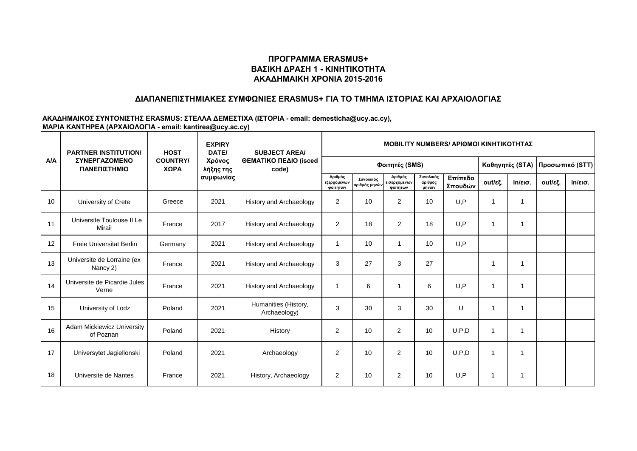### **ΔΙΑΠΑΝΕΠΙΣΤΗΜΙΑΚΕΣ ΣΥΜΦΩΝΙΕΣ ERASMUS+ ΓΙΑ ΤΟ ΤΜΗΜΑ ΙΣΤΟΡΙΑΣ ΚΑΙ ΑΡΧΑΙΟΛΟΓΙΑΣ**

|            | <b>PARTNER INSTITUTION/</b>             | <b>EXPIRY</b><br><b>HOST</b><br>DATE/ |                                  | <b>SUBJECT AREA/</b>                 | <b>MOBILITY NUMBERS/ APIOMOI KINHTIKOTHTAZ</b> |                            |                                     |                               |                    |                 |         |                 |                   |
|------------|-----------------------------------------|---------------------------------------|----------------------------------|--------------------------------------|------------------------------------------------|----------------------------|-------------------------------------|-------------------------------|--------------------|-----------------|---------|-----------------|-------------------|
| <b>A/A</b> | ΣΥΝΕΡΓΑΖΟΜΕΝΟ<br>ΠΑΝΕΠΙΣΤΗΜΙΟ           | <b>COUNTRY/</b><br>ΧΩΡΑ               | Χρόνος<br>λήξης της<br>συμφωνίας | ΘΕΜΑΤΙΚΟ ΠΕΔΙΟ (isced<br>code)       |                                                |                            | Φοιτητές (SMS)                      |                               |                    | Καθηγητές (STA) |         | Προσωπικό (STT) |                   |
|            |                                         |                                       |                                  |                                      | Αριθμός<br>εξερχόμενων<br>φοιτητών             | Συνολικός<br>αριθμός μηνών | Αριθμός<br>εισερχόμενων<br>φοιτητών | Συνολικός<br>αριθμός<br>μηνών | Επίπεδο<br>Σπουδών | out/εξ.         | in/εισ. | out/εξ.         | $in/\epsilon$ ισ. |
| 10         | University of Crete                     | Greece                                | 2021                             | <b>History and Archaeology</b>       | $\overline{2}$                                 | 10 <sup>1</sup>            | 2                                   | 10                            | U.P                | 1               |         |                 |                   |
| 11         | Universite Toulouse II Le<br>Mirail     | France                                | 2017                             | <b>History and Archaeology</b>       | 2                                              | 18                         | 2                                   | 18                            | U, P               | 1               |         |                 |                   |
| 12         | <b>Freie Universitat Berlin</b>         | Germany                               | 2021                             | <b>History and Archaeology</b>       | 1                                              | 10                         | 1                                   | 10                            | U, P               |                 |         |                 |                   |
| 13         | Universite de Lorraine (ex<br>Nancy 2)  | France                                | 2021                             | <b>History and Archaeology</b>       | 3                                              | 27                         | 3                                   | 27                            |                    | 1               |         |                 |                   |
| 14         | Universite de Picardie Jules<br>Verne   | France                                | 2021                             | <b>History and Archaeology</b>       | -1                                             | 6                          | 1                                   | 6                             | U.P                | 1               |         |                 |                   |
| 15         | University of Lodz                      | Poland                                | 2021                             | Humanities (History,<br>Archaeology) | 3                                              | 30                         | 3                                   | 30                            | U                  | 1               |         |                 |                   |
| 16         | Adam Mickiewicz University<br>of Poznan | Poland                                | 2021                             | History                              | $\overline{2}$                                 | 10                         | $\overline{2}$                      | 10                            | U, P, D            | -1              |         |                 |                   |
| 17         | Universytet Jagiellonski                | Poland                                | 2021                             | Archaeology                          | 2                                              | 10                         | $\overline{2}$                      | 10                            | U, P, D            |                 |         |                 |                   |
| 18         | Universite de Nantes                    | France                                | 2021                             | History, Archaeology                 | $\overline{2}$                                 | 10                         | 2                                   | 10                            | U, P               |                 |         |                 |                   |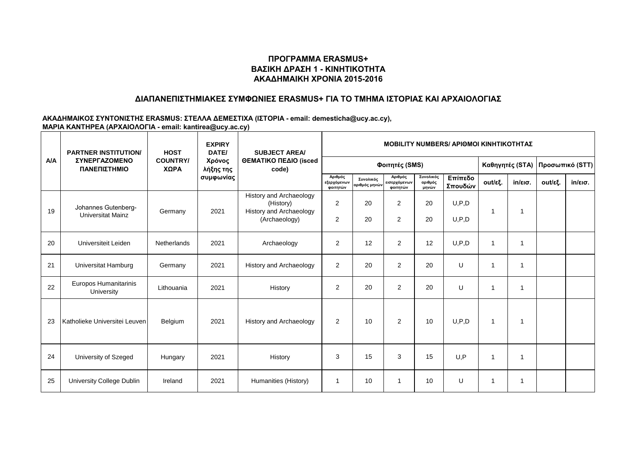### **ΔΙΑΠΑΝΕΠΙΣΤΗΜΙΑΚΕΣ ΣΥΜΦΩΝΙΕΣ ERASMUS+ ΓΙΑ ΤΟ ΤΜΗΜΑ ΙΣΤΟΡΙΑΣ ΚΑΙ ΑΡΧΑΙΟΛΟΓΙΑΣ**

|            | <b>PARTNER INSTITUTION/</b>                     | <b>HOST</b>             | <b>EXPIRY</b><br>DATE/           | <b>SUBJECT AREA/</b>                                                                           |                                    |                            |                                     | <b>MOBILITY NUMBERS/ APIOMOI KINHTIKOTHTAZ</b> |                    |                 |                   |                 |                   |
|------------|-------------------------------------------------|-------------------------|----------------------------------|------------------------------------------------------------------------------------------------|------------------------------------|----------------------------|-------------------------------------|------------------------------------------------|--------------------|-----------------|-------------------|-----------------|-------------------|
| <b>A/A</b> | <b><i>ΣΥΝΕΡΓΑΖΟΜΕΝΟ</i></b><br>ΠΑΝΕΠΙΣΤΗΜΙΟ     | <b>COUNTRY/</b><br>ΧΩΡΑ | Χρόνος<br>λήξης της<br>συμφωνίας | ΘΕΜΑΤΙΚΟ ΠΕΔΙΟ (isced<br>code)                                                                 |                                    |                            | Φοιτητές (SMS)                      |                                                |                    | Καθηγητές (STA) |                   | Προσωπικό (STT) |                   |
|            |                                                 |                         |                                  |                                                                                                | Αριθμός<br>εξερχόμενων<br>φοιτητών | Συνολικός<br>αριθμός μηνών | Αριθμός<br>εισερχόμενων<br>φοιτητών | Συνολικός<br>αριθμός<br>μηνών                  | Επίπεδο<br>Σπουδών | out/εξ.         | $in/\epsilon$ ισ. | out/εξ.         | $in/\epsilon$ ισ. |
| 19         | Johannes Gutenberg-<br><b>Universitat Mainz</b> | Germany                 | 2021                             | <b>History and Archaeology</b><br>(History)<br><b>History and Archaeology</b><br>(Archaeology) | $\overline{2}$<br>$\overline{2}$   | 20<br>20                   | $\overline{2}$<br>$\overline{2}$    | 20<br>20                                       | U, P, D<br>U, P, D |                 |                   |                 |                   |
| 20         | Universiteit Leiden                             | Netherlands             | 2021                             | Archaeology                                                                                    | 2                                  | 12                         | 2                                   | 12                                             | U, P, D            |                 |                   |                 |                   |
| 21         | Universitat Hamburg                             | Germany                 | 2021                             | <b>History and Archaeology</b>                                                                 | 2                                  | 20                         | $\overline{2}$                      | 20                                             | U                  |                 |                   |                 |                   |
| 22         | Europos Humanitarinis<br>University             | Lithouania              | 2021                             | History                                                                                        | 2                                  | 20                         | $\overline{2}$                      | 20                                             | U                  |                 |                   |                 |                   |
| 23         | Katholieke Universitei Leuven                   | Belgium                 | 2021                             | <b>History and Archaeology</b>                                                                 | 2                                  | 10                         | 2                                   | 10                                             | U, P, D            | 1               |                   |                 |                   |
| 24         | University of Szeged                            | Hungary                 | 2021                             | History                                                                                        | 3                                  | 15                         | 3                                   | 15                                             | U.P                | 1               |                   |                 |                   |
| 25         | University College Dublin                       | Ireland                 | 2021                             | Humanities (History)                                                                           |                                    | 10                         | 1                                   | 10                                             | U                  |                 |                   |                 |                   |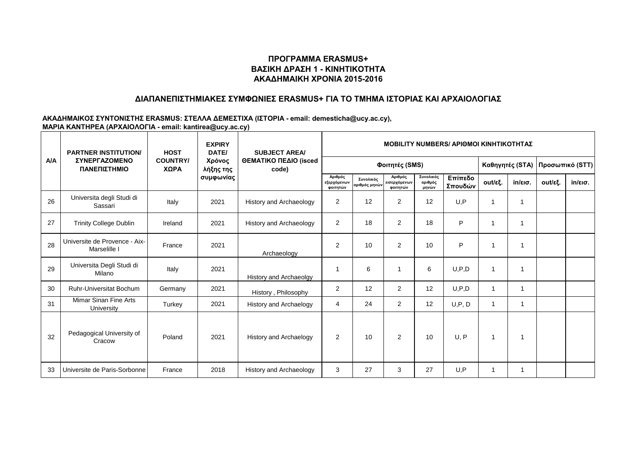### **ΔΙΑΠΑΝΕΠΙΣΤΗΜΙΑΚΕΣ ΣΥΜΦΩΝΙΕΣ ERASMUS+ ΓΙΑ ΤΟ ΤΜΗΜΑ ΙΣΤΟΡΙΑΣ ΚΑΙ ΑΡΧΑΙΟΛΟΓΙΑΣ**

|            | <b>PARTNER INSTITUTION/</b>                   | <b>HOST</b>             | <b>EXPIRY</b><br>DATE/<br>Χρόνος<br>λήξης της<br>συμφωνίας | <b>SUBJECT AREA/</b><br>ΘΕΜΑΤΙΚΟ ΠΕΔΙΟ (isced<br>code) | <b>MOBILITY NUMBERS/ APIOMOI KINHTIKOTHTAZ</b> |                            |                                     |                               |                    |              |                   |         |                   |  |
|------------|-----------------------------------------------|-------------------------|------------------------------------------------------------|--------------------------------------------------------|------------------------------------------------|----------------------------|-------------------------------------|-------------------------------|--------------------|--------------|-------------------|---------|-------------------|--|
| <b>A/A</b> | ΣΥΝΕΡΓΑΖΟΜΕΝΟ<br>ΠΑΝΕΠΙΣΤΗΜΙΟ                 | <b>COUNTRY/</b><br>ΧΩΡΑ |                                                            |                                                        |                                                |                            | Καθηγητές (STA)                     |                               | Προσωπικό (STT)    |              |                   |         |                   |  |
|            |                                               |                         |                                                            |                                                        | Αριθμός<br>εξερχόμενων<br>φοιτητών             | Συνολικός<br>αριθμός μηνών | Αριθμός<br>εισερχόμενων<br>φοιτητών | Συνολικός<br>αριθμός<br>μηνών | Επίπεδο<br>Σπουδών | out/εξ.      | $in/\epsilon$ ισ. | out/εξ. | $in/\epsilon$ ισ. |  |
| 26         | Universita degli Studi di<br>Sassari          | Italy                   | 2021                                                       | <b>History and Archaeology</b>                         | $\overline{2}$                                 | 12                         | $\overline{2}$                      | 12                            | U, P               |              |                   |         |                   |  |
| 27         | <b>Trinity College Dublin</b>                 | Ireland                 | 2021                                                       | <b>History and Archaeology</b>                         | $\overline{2}$                                 | 18                         | $\overline{2}$                      | 18                            | P                  |              |                   |         |                   |  |
| 28         | Universite de Provence - Aix-<br>Marselille I | France                  | 2021                                                       | Archaeology                                            | 2                                              | 10                         | 2                                   | 10                            | P                  | 1            |                   |         |                   |  |
| 29         | Universita Degli Studi di<br>Milano           | Italy                   | 2021                                                       | History and Archaeolgy                                 |                                                | 6                          | 1                                   | 6                             | U, P, D            | $\mathbf{1}$ |                   |         |                   |  |
| 30         | <b>Ruhr-Universitat Bochum</b>                | Germany                 | 2021                                                       | History, Philosophy                                    | 2                                              | 12                         | 2                                   | 12                            | U, P, D            | $\mathbf{1}$ |                   |         |                   |  |
| 31         | Mimar Sinan Fine Arts<br>University           | Turkey                  | 2021                                                       | <b>History and Archaelogy</b>                          | $\overline{4}$                                 | 24                         | $\overline{2}$                      | 12                            | U, P, D            | 1            |                   |         |                   |  |
| 32         | Pedagogical University of<br>Cracow           | Poland                  | 2021                                                       | History and Archaelogy                                 | 2                                              | 10                         | 2                                   | 10                            | U, P               | 1            |                   |         |                   |  |
| 33         | Universite de Paris-Sorbonne                  | France                  | 2018                                                       | <b>History and Archaeology</b>                         | 3                                              | 27                         | 3                                   | 27                            | U, P               |              |                   |         |                   |  |